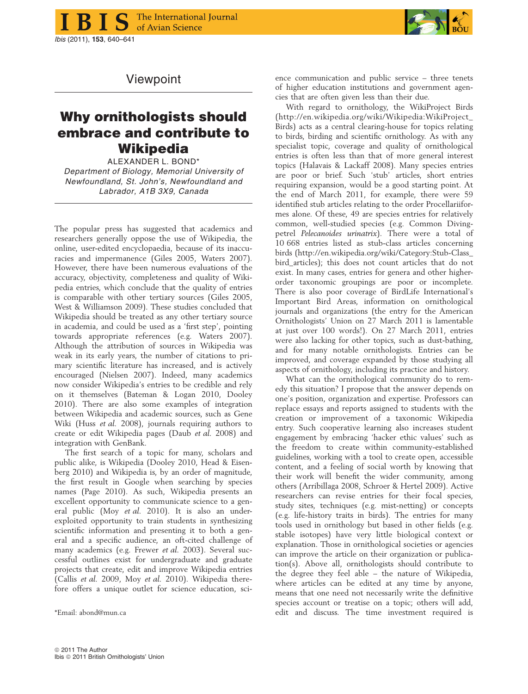

## Viewpoint

## Why ornithologists should embrace and contribute to **Wikipedia**

ALEXANDER L. BOND\* Department of Biology, Memorial University of Newfoundland, St. John's, Newfoundland and Labrador, A1B 3X9, Canada

The popular press has suggested that academics and researchers generally oppose the use of Wikipedia, the online, user-edited encyclopaedia, because of its inaccuracies and impermanence (Giles 2005, Waters 2007). However, there have been numerous evaluations of the accuracy, objectivity, completeness and quality of Wikipedia entries, which conclude that the quality of entries is comparable with other tertiary sources (Giles 2005, West & Williamson 2009). These studies concluded that Wikipedia should be treated as any other tertiary source in academia, and could be used as a 'first step', pointing towards appropriate references (e.g. Waters 2007). Although the attribution of sources in Wikipedia was weak in its early years, the number of citations to primary scientific literature has increased, and is actively encouraged (Nielsen 2007). Indeed, many academics now consider Wikipedia's entries to be credible and rely on it themselves (Bateman & Logan 2010, Dooley 2010). There are also some examples of integration between Wikipedia and academic sources, such as Gene Wiki (Huss et al. 2008), journals requiring authors to create or edit Wikipedia pages (Daub et al. 2008) and integration with GenBank.

The first search of a topic for many, scholars and public alike, is Wikipedia (Dooley 2010, Head & Eisenberg 2010) and Wikipedia is, by an order of magnitude, the first result in Google when searching by species names (Page 2010). As such, Wikipedia presents an excellent opportunity to communicate science to a general public (Moy et al. 2010). It is also an underexploited opportunity to train students in synthesizing scientific information and presenting it to both a general and a specific audience, an oft-cited challenge of many academics (e.g. Frewer et al. 2003). Several successful outlines exist for undergraduate and graduate projects that create, edit and improve Wikipedia entries (Callis et al. 2009, Moy et al. 2010). Wikipedia therefore offers a unique outlet for science education, sci-

ence communication and public service – three tenets of higher education institutions and government agencies that are often given less than their due.

With regard to ornithology, the WikiProject Birds (http://en.wikipedia.org/wiki/Wikipedia:WikiProject\_ Birds) acts as a central clearing-house for topics relating to birds, birding and scientific ornithology. As with any specialist topic, coverage and quality of ornithological entries is often less than that of more general interest topics (Halavais & Lackaff 2008). Many species entries are poor or brief. Such 'stub' articles, short entries requiring expansion, would be a good starting point. At the end of March 2011, for example, there were 59 identified stub articles relating to the order Procellariiformes alone. Of these, 49 are species entries for relatively common, well-studied species (e.g. Common Divingpetrel Pelecanoides urinatrix). There were a total of 10 668 entries listed as stub-class articles concerning birds (http://en.wikipedia.org/wiki/Category:Stub-Class\_ bird\_articles); this does not count articles that do not exist. In many cases, entries for genera and other higherorder taxonomic groupings are poor or incomplete. There is also poor coverage of BirdLife International's Important Bird Areas, information on ornithological journals and organizations (the entry for the American Ornithologists' Union on 27 March 2011 is lamentable at just over 100 words!). On 27 March 2011, entries were also lacking for other topics, such as dust-bathing, and for many notable ornithologists. Entries can be improved, and coverage expanded by those studying all aspects of ornithology, including its practice and history.

What can the ornithological community do to remedy this situation? I propose that the answer depends on one's position, organization and expertise. Professors can replace essays and reports assigned to students with the creation or improvement of a taxonomic Wikipedia entry. Such cooperative learning also increases student engagement by embracing 'hacker ethic values' such as the freedom to create within community-established guidelines, working with a tool to create open, accessible content, and a feeling of social worth by knowing that their work will benefit the wider community, among others (Arribillaga 2008, Schroer & Hertel 2009). Active researchers can revise entries for their focal species, study sites, techniques (e.g. mist-netting) or concepts (e.g. life-history traits in birds). The entries for many tools used in ornithology but based in other fields (e.g. stable isotopes) have very little biological context or explanation. Those in ornithological societies or agencies can improve the article on their organization or publication(s). Above all, ornithologists should contribute to the degree they feel able – the nature of Wikipedia, where articles can be edited at any time by anyone, means that one need not necessarily write the definitive species account or treatise on a topic; others will add, \*Email: abond@mun.ca edit and discuss. The time investment required is